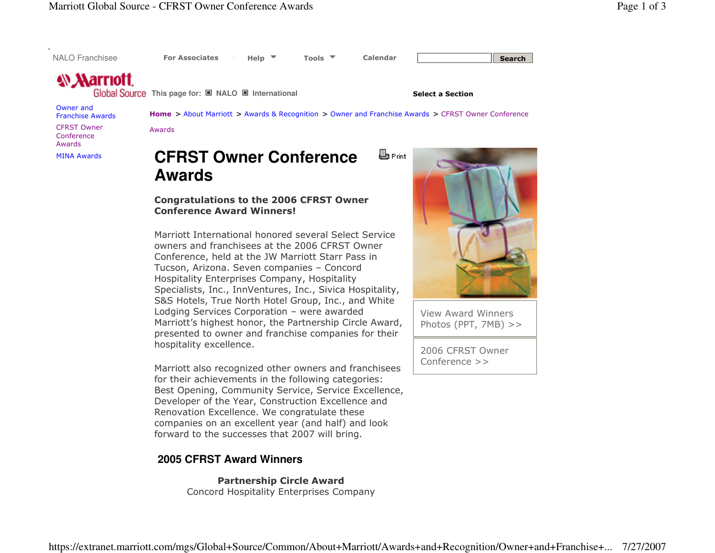NALO FranchiseeFor Associates Help Tools Calendar Search

**Home >** About Marriott > Awards & Recognition > Owner and Franchise Awards > CFRST Owner Conference

**W** Marriott

**Global Source** This page for: ■ NALO ■ International

Select a Section

Owner and Franchise AwardsCFRST Owner

MINA Awards

Conference Awards

# **马** Print **CFRST Owner Conference Awards**

### Congratulations to the 2006 CFRST Owner Conference Award Winners!

Marriott International honored several Select Service owners and franchisees at the 2006 CFRST Owner Conference, held at the JW Marriott Starr Pass in Tucson, Arizona. Seven companies – Concord Hospitality Enterprises Company, Hospitality Specialists, Inc., InnVentures, Inc., Sivica Hospitality, S&S Hotels, True North Hotel Group, Inc., and White Lodging Services Corporation – were awarded Marriott's highest honor, the Partnership Circle Award, presented to owner and franchise companies for their hospitality excellence.

Marriott also recognized other owners and franchisees for their achievements in the following categories: Best Opening, Community Service, Service Excellence, Developer of the Year, Construction Excellence and Renovation Excellence. We congratulate these companies on an excellent year (and half) and look forward to the successes that 2007 will bring.

# **2005 CFRST Award Winners**

Partnership Circle AwardConcord Hospitality Enterprises Company



View Award Winners Photos (PPT, 7MB) >>

2006 CFRST Owner Conference >>

Awards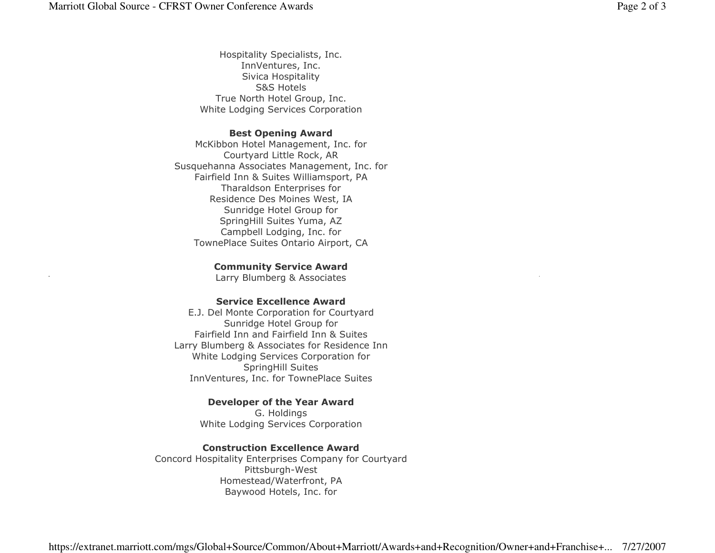Hospitality Specialists, Inc. InnVentures, Inc. Sivica Hospitality S&S Hotels True North Hotel Group, Inc. White Lodging Services Corporation

#### Best Opening Award

 McKibbon Hotel Management, Inc. for Courtyard Little Rock, AR Susquehanna Associates Management, Inc. for Fairfield Inn & Suites Williamsport, PA Tharaldson Enterprises for Residence Des Moines West, IA Sunridge Hotel Group for SpringHill Suites Yuma, AZ Campbell Lodging, Inc. for TownePlace Suites Ontario Airport, CA

#### Community Service Award

Larry Blumberg & Associates

## Service Excellence Award

 E.J. Del Monte Corporation for Courtyard Sunridge Hotel Group for Fairfield Inn and Fairfield Inn & Suites Larry Blumberg & Associates for Residence Inn White Lodging Services Corporation for SpringHill Suites InnVentures, Inc. for TownePlace Suites

#### Developer of the Year Award

G. Holdings White Lodging Services Corporation

## Construction Excellence Award

 Concord Hospitality Enterprises Company for Courtyard Pittsburgh-West Homestead/Waterfront, PA Baywood Hotels, Inc. for